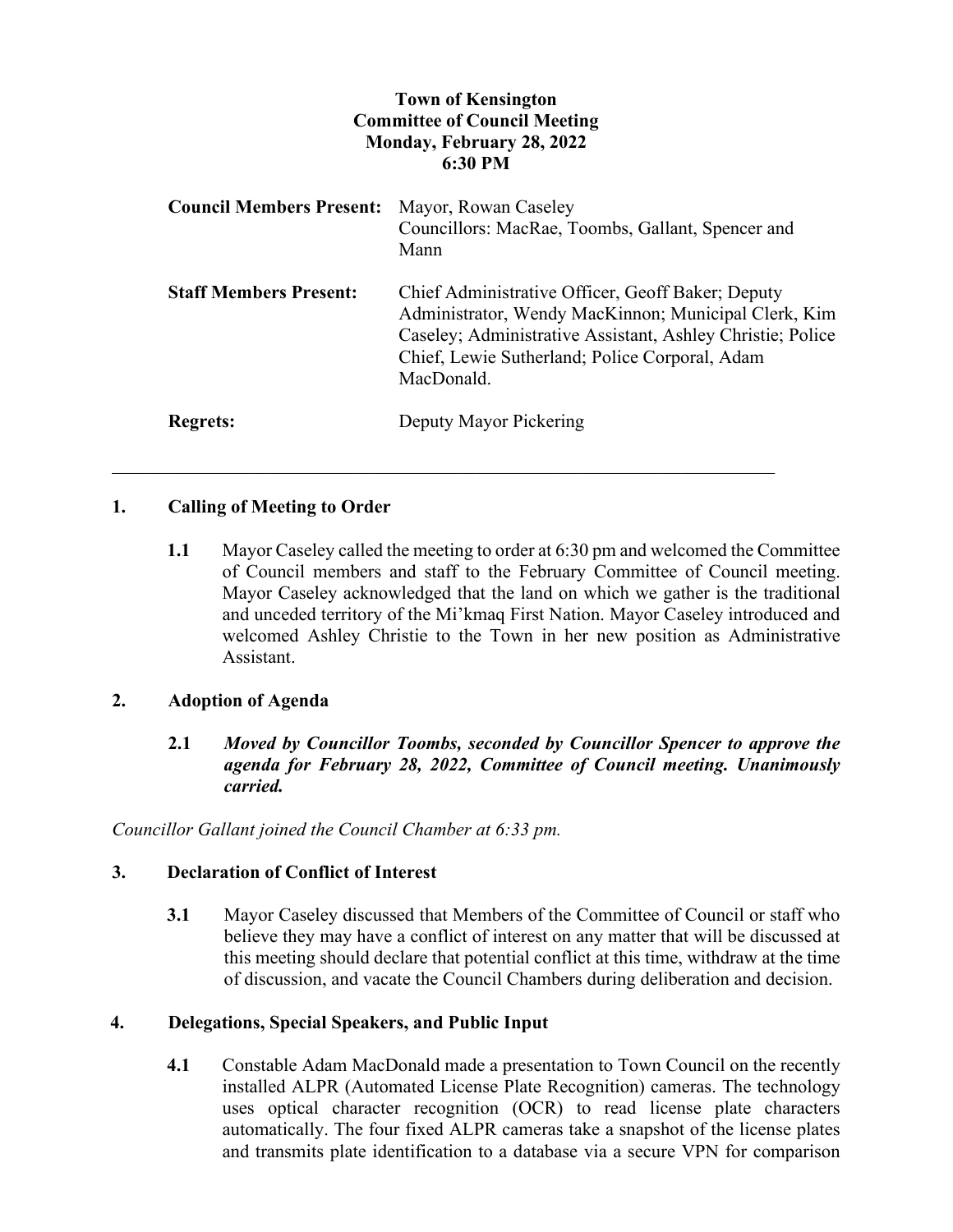# **Town of Kensington Committee of Council Meeting Monday, February 28, 2022 6:30 PM**

| <b>Council Members Present:</b> | Mayor, Rowan Caseley<br>Councillors: MacRae, Toombs, Gallant, Spencer and<br>Mann                                                                                                                                                       |
|---------------------------------|-----------------------------------------------------------------------------------------------------------------------------------------------------------------------------------------------------------------------------------------|
| <b>Staff Members Present:</b>   | Chief Administrative Officer, Geoff Baker; Deputy<br>Administrator, Wendy MacKinnon; Municipal Clerk, Kim<br>Caseley; Administrative Assistant, Ashley Christie; Police<br>Chief, Lewie Sutherland; Police Corporal, Adam<br>MacDonald. |
| <b>Regrets:</b>                 | Deputy Mayor Pickering                                                                                                                                                                                                                  |

\_\_\_\_\_\_\_\_\_\_\_\_\_\_\_\_\_\_\_\_\_\_\_\_\_\_\_\_\_\_\_\_\_\_\_\_\_\_\_\_\_\_\_\_\_\_\_\_\_\_\_\_\_\_\_\_\_\_\_\_\_\_\_\_\_\_\_\_\_\_\_

## **1. Calling of Meeting to Order**

**1.1** Mayor Caseley called the meeting to order at 6:30 pm and welcomed the Committee of Council members and staff to the February Committee of Council meeting. Mayor Caseley acknowledged that the land on which we gather is the traditional and unceded territory of the Mi'kmaq First Nation. Mayor Caseley introduced and welcomed Ashley Christie to the Town in her new position as Administrative Assistant.

## **2. Adoption of Agenda**

**2.1** *Moved by Councillor Toombs, seconded by Councillor Spencer to approve the agenda for February 28, 2022, Committee of Council meeting. Unanimously carried.*

*Councillor Gallant joined the Council Chamber at 6:33 pm.*

## **3. Declaration of Conflict of Interest**

**3.1** Mayor Caseley discussed that Members of the Committee of Council or staff who believe they may have a conflict of interest on any matter that will be discussed at this meeting should declare that potential conflict at this time, withdraw at the time of discussion, and vacate the Council Chambers during deliberation and decision.

## **4. Delegations, Special Speakers, and Public Input**

**4.1** Constable Adam MacDonald made a presentation to Town Council on the recently installed ALPR (Automated License Plate Recognition) cameras. The technology uses optical character recognition (OCR) to read license plate characters automatically. The four fixed ALPR cameras take a snapshot of the license plates and transmits plate identification to a database via a secure VPN for comparison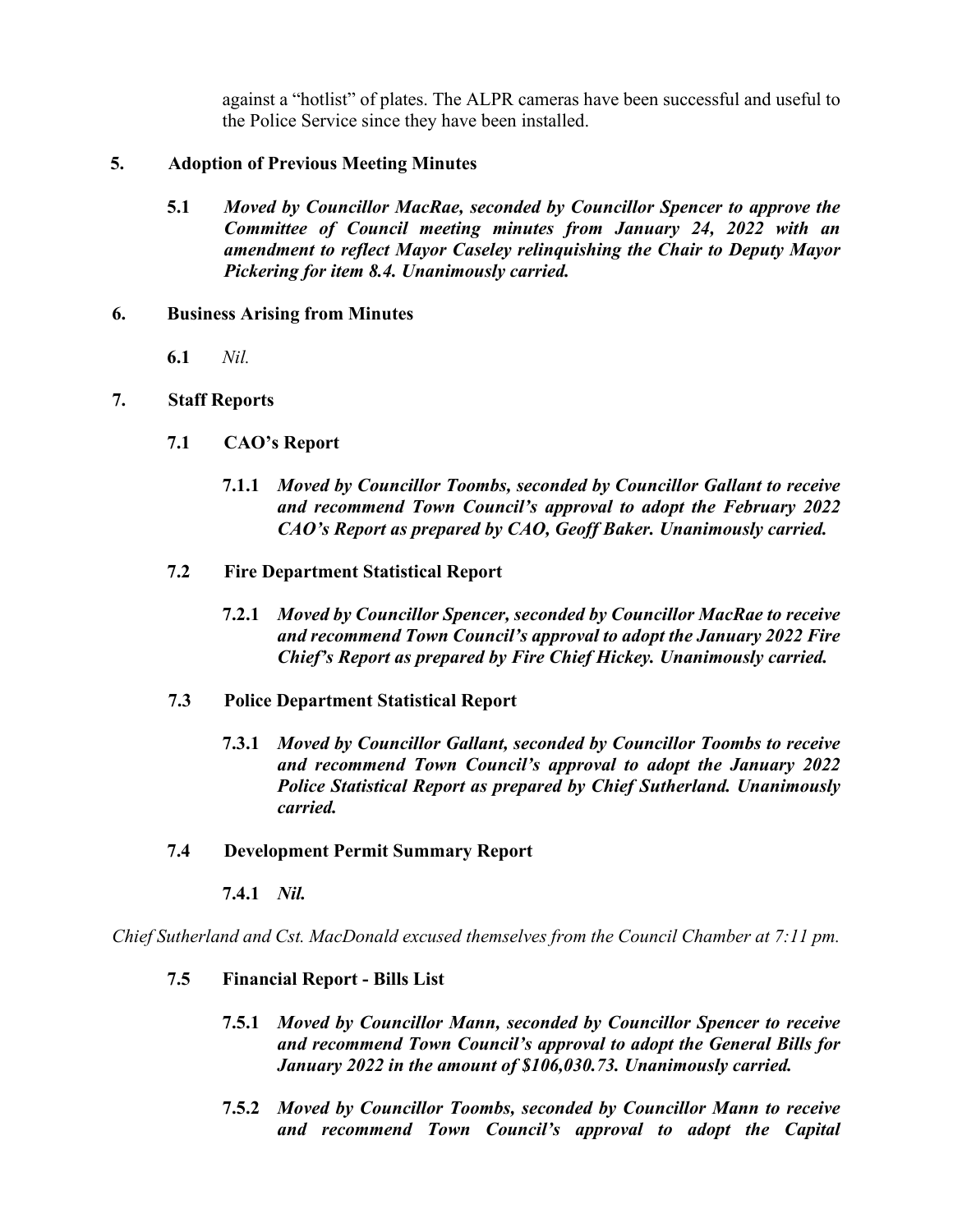against a "hotlist" of plates. The ALPR cameras have been successful and useful to the Police Service since they have been installed.

## **5. Adoption of Previous Meeting Minutes**

**5.1** *Moved by Councillor MacRae, seconded by Councillor Spencer to approve the Committee of Council meeting minutes from January 24, 2022 with an amendment to reflect Mayor Caseley relinquishing the Chair to Deputy Mayor Pickering for item 8.4. Unanimously carried.*

## **6. Business Arising from Minutes**

**6.1** *Nil.*

## **7. Staff Reports**

- **7.1 CAO's Report**
	- **7.1.1** *Moved by Councillor Toombs, seconded by Councillor Gallant to receive and recommend Town Council's approval to adopt the February 2022 CAO's Report as prepared by CAO, Geoff Baker. Unanimously carried.*
- **7.2 Fire Department Statistical Report**
	- **7.2.1** *Moved by Councillor Spencer, seconded by Councillor MacRae to receive and recommend Town Council's approval to adopt the January 2022 Fire Chief's Report as prepared by Fire Chief Hickey. Unanimously carried.*
- **7.3 Police Department Statistical Report**
	- **7.3.1** *Moved by Councillor Gallant, seconded by Councillor Toombs to receive and recommend Town Council's approval to adopt the January 2022 Police Statistical Report as prepared by Chief Sutherland. Unanimously carried.*
- **7.4 Development Permit Summary Report**
	- **7.4.1** *Nil.*

*Chief Sutherland and Cst. MacDonald excused themselves from the Council Chamber at 7:11 pm.*

- **7.5 Financial Report - Bills List**
	- **7.5.1** *Moved by Councillor Mann, seconded by Councillor Spencer to receive and recommend Town Council's approval to adopt the General Bills for January 2022 in the amount of \$106,030.73. Unanimously carried.*
	- **7.5.2** *Moved by Councillor Toombs, seconded by Councillor Mann to receive and recommend Town Council's approval to adopt the Capital*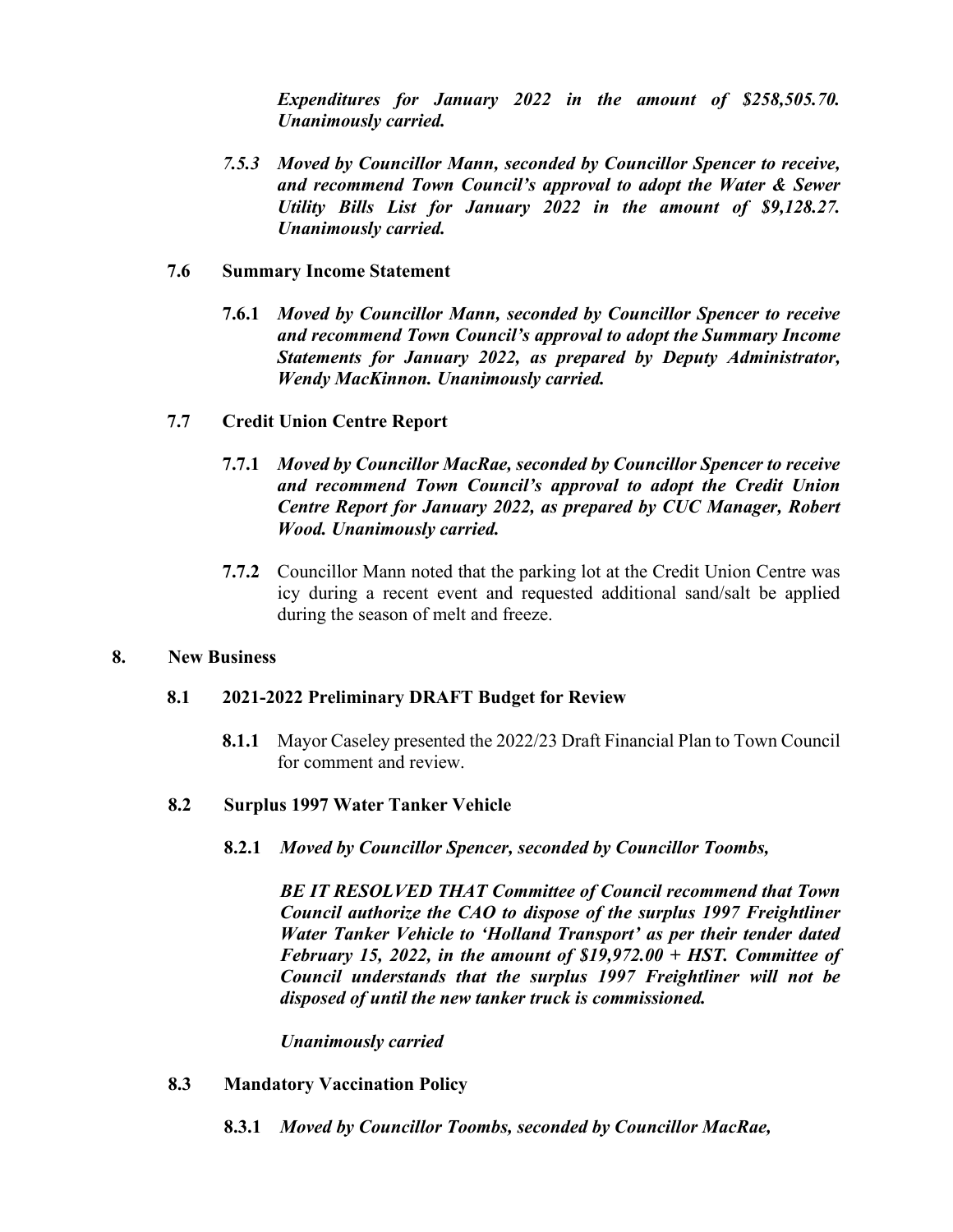*Expenditures for January 2022 in the amount of \$258,505.70. Unanimously carried.* 

*7.5.3 Moved by Councillor Mann, seconded by Councillor Spencer to receive, and recommend Town Council's approval to adopt the Water & Sewer Utility Bills List for January 2022 in the amount of \$9,128.27. Unanimously carried.* 

## **7.6 Summary Income Statement**

**7.6.1** *Moved by Councillor Mann, seconded by Councillor Spencer to receive and recommend Town Council's approval to adopt the Summary Income Statements for January 2022, as prepared by Deputy Administrator, Wendy MacKinnon. Unanimously carried.*

## **7.7 Credit Union Centre Report**

- **7.7.1** *Moved by Councillor MacRae, seconded by Councillor Spencer to receive and recommend Town Council's approval to adopt the Credit Union Centre Report for January 2022, as prepared by CUC Manager, Robert Wood. Unanimously carried.*
- **7.7.2** Councillor Mann noted that the parking lot at the Credit Union Centre was icy during a recent event and requested additional sand/salt be applied during the season of melt and freeze.

#### **8. New Business**

## **8.1 2021-2022 Preliminary DRAFT Budget for Review**

**8.1.1** Mayor Caseley presented the 2022/23 Draft Financial Plan to Town Council for comment and review.

## **8.2 Surplus 1997 Water Tanker Vehicle**

**8.2.1** *Moved by Councillor Spencer, seconded by Councillor Toombs,*

*BE IT RESOLVED THAT Committee of Council recommend that Town Council authorize the CAO to dispose of the surplus 1997 Freightliner Water Tanker Vehicle to 'Holland Transport' as per their tender dated February 15, 2022, in the amount of \$19,972.00 + HST. Committee of Council understands that the surplus 1997 Freightliner will not be disposed of until the new tanker truck is commissioned.*

#### *Unanimously carried*

- **8.3 Mandatory Vaccination Policy**
	- **8.3.1** *Moved by Councillor Toombs, seconded by Councillor MacRae,*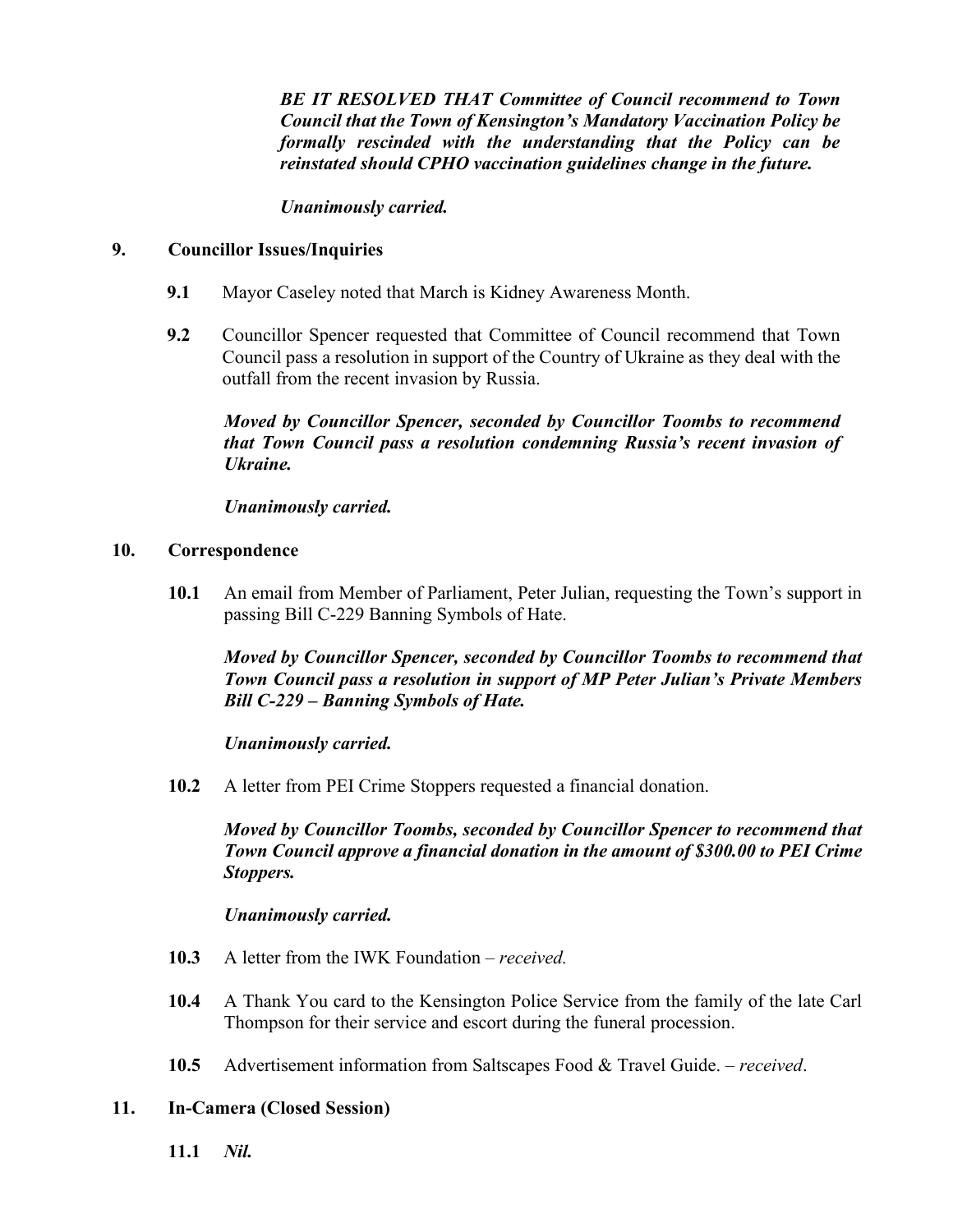*BE IT RESOLVED THAT Committee of Council recommend to Town Council that the Town of Kensington's Mandatory Vaccination Policy be formally rescinded with the understanding that the Policy can be reinstated should CPHO vaccination guidelines change in the future.*

*Unanimously carried.*

## **9. Councillor Issues/Inquiries**

- **9.1** Mayor Caseley noted that March is Kidney Awareness Month.
- **9.2** Councillor Spencer requested that Committee of Council recommend that Town Council pass a resolution in support of the Country of Ukraine as they deal with the outfall from the recent invasion by Russia.

*Moved by Councillor Spencer, seconded by Councillor Toombs to recommend that Town Council pass a resolution condemning Russia's recent invasion of Ukraine.* 

*Unanimously carried.* 

## **10. Correspondence**

**10.1** An email from Member of Parliament, Peter Julian, requesting the Town's support in passing Bill C-229 Banning Symbols of Hate.

*Moved by Councillor Spencer, seconded by Councillor Toombs to recommend that Town Council pass a resolution in support of MP Peter Julian's Private Members Bill C-229 – Banning Symbols of Hate.* 

# *Unanimously carried.*

**10.2** A letter from PEI Crime Stoppers requested a financial donation.

*Moved by Councillor Toombs, seconded by Councillor Spencer to recommend that Town Council approve a financial donation in the amount of \$300.00 to PEI Crime Stoppers.* 

# *Unanimously carried.*

- **10.3** A letter from the IWK Foundation *received.*
- **10.4** A Thank You card to the Kensington Police Service from the family of the late Carl Thompson for their service and escort during the funeral procession.
- **10.5** Advertisement information from Saltscapes Food & Travel Guide. *– received*.

## **11. In-Camera (Closed Session)**

**11.1** *Nil.*